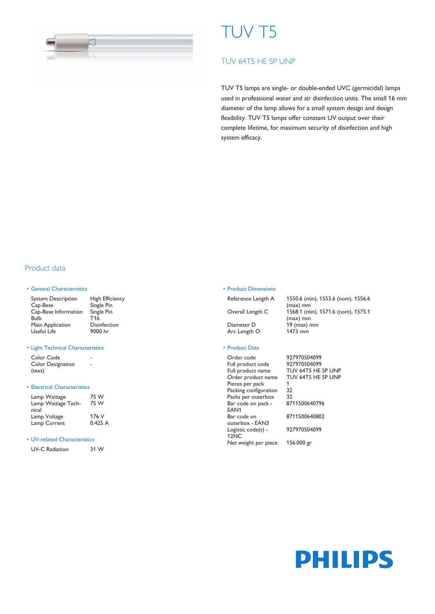

# TUV T5

# TUV 64T5 HE SP UNP

TUV T5 lamps are single- or double-ended UVC (germicidal) lamps used in professional water and air disinfection units. The small 16 mm diameter of the lamp allows for a small system design and design flexibility. TUV T5 lamps offer constant UV output over their complete lifetime, for maximum security of disinfection and high system efficacy.

# Product data

### • General Characteristics

| <b>System Description</b> | <b>High Efficiency</b> |
|---------------------------|------------------------|
| Cap-Base                  | Single Pin             |
| Cap-Base Information      | Single Pin             |
| Bulb                      | T <sub>16</sub>        |
| Main Application          | <b>Disinfection</b>    |
| Useful Life               | 9000 hr                |

#### • Light Technical Characteristics

| Color Code               |  |
|--------------------------|--|
| <b>Color Designation</b> |  |
| (text)                   |  |

## • Electrical Characteristics

| Lamp Wattage<br>Lamp Wattage Tech-<br>nical | 75 W<br>75 W |  |  |  |
|---------------------------------------------|--------------|--|--|--|
| Lamp Voltage                                | 176 V        |  |  |  |
| Lamp Current                                | 0.425A       |  |  |  |

#### • UV-related Characteristics

| <b>UV-C Radiation</b> | 31 W |
|-----------------------|------|
|-----------------------|------|

#### • Product Dimensions

Arc Length O

Reference Length A 1550.6 (min), 1553.6 (nom), 1556.6 (max) mm Overall Length C 1568.1 (min), 1571.6 (nom), 1575.1 (max) mm Diameter D 19 (max) mm<br>Arc Length O 1473 mm

## • Product Data

| 927970504       |
|-----------------|
| 927970504       |
| <b>TUV 64T5</b> |
| <b>TUV 64T5</b> |
|                 |
| 32              |
| 32              |
| 871150064       |
|                 |
| 871150064       |
|                 |
| 927970504       |
|                 |
| 156.000 gr      |
|                 |

Order code 927970504099 927970504099 TUV 64T5 HE SP UNP TUV 64T5 HE SP UNP  $\frac{32}{32}$ 8711500640796 8711500640802 927970504099